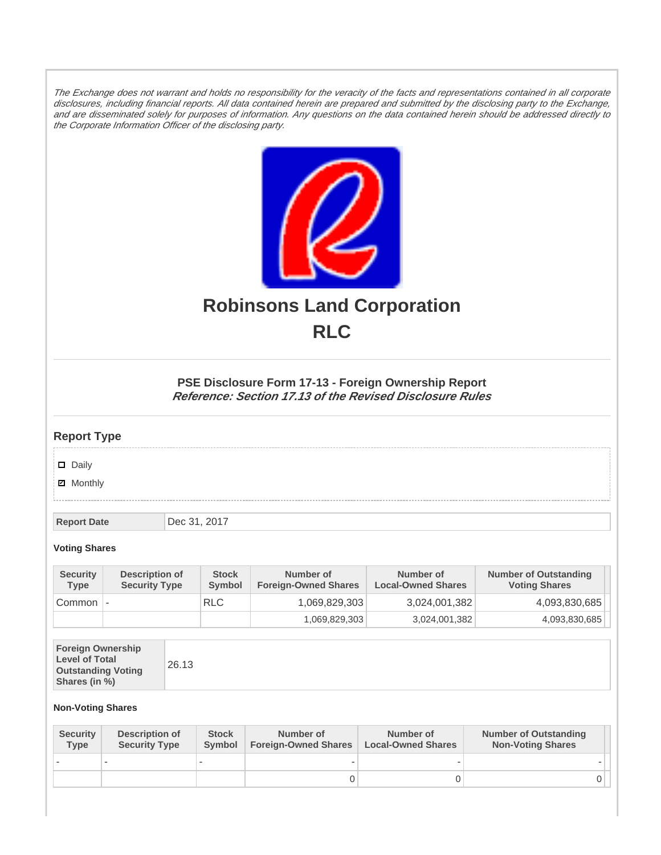The Exchange does not warrant and holds no responsibility for the veracity of the facts and representations contained in all corporate disclosures, including financial reports. All data contained herein are prepared and submitted by the disclosing party to the Exchange, and are disseminated solely for purposes of information. Any questions on the data contained herein should be addressed directly to the Corporate Information Officer of the disclosing party.



# **Robinsons Land Corporation RLC**

## **PSE Disclosure Form 17-13 - Foreign Ownership Report Reference: Section 17.13 of the Revised Disclosure Rules**

# **Report Type**

Daily

**Ø** Monthly

**Report Date Dec 31, 2017** 

### **Voting Shares**

| <b>Security</b><br><b>Type</b> | Description of<br><b>Security Type</b> | <b>Stock</b><br>Symbol | Number of<br><b>Foreign-Owned Shares</b> | Number of<br><b>Local-Owned Shares</b> | <b>Number of Outstanding</b><br><b>Voting Shares</b> |
|--------------------------------|----------------------------------------|------------------------|------------------------------------------|----------------------------------------|------------------------------------------------------|
| Common                         | $\overline{\phantom{a}}$               | <b>RLC</b>             | 1,069,829,303                            | 3,024,001,382                          | 4,093,830,685                                        |
|                                |                                        |                        | 1,069,829,303                            | 3,024,001,382                          | 4,093,830,685                                        |

|--|

#### **Non-Voting Shares**

| <b>Security</b><br><b>Type</b> | Description of<br><b>Security Type</b> | <b>Stock</b><br><b>Symbol</b> | Number of<br><b>Foreign-Owned Shares</b> | Number of<br><b>Local-Owned Shares</b> | <b>Number of Outstanding</b><br><b>Non-Voting Shares</b> |
|--------------------------------|----------------------------------------|-------------------------------|------------------------------------------|----------------------------------------|----------------------------------------------------------|
|                                |                                        |                               |                                          |                                        |                                                          |
|                                |                                        |                               | 0                                        |                                        |                                                          |